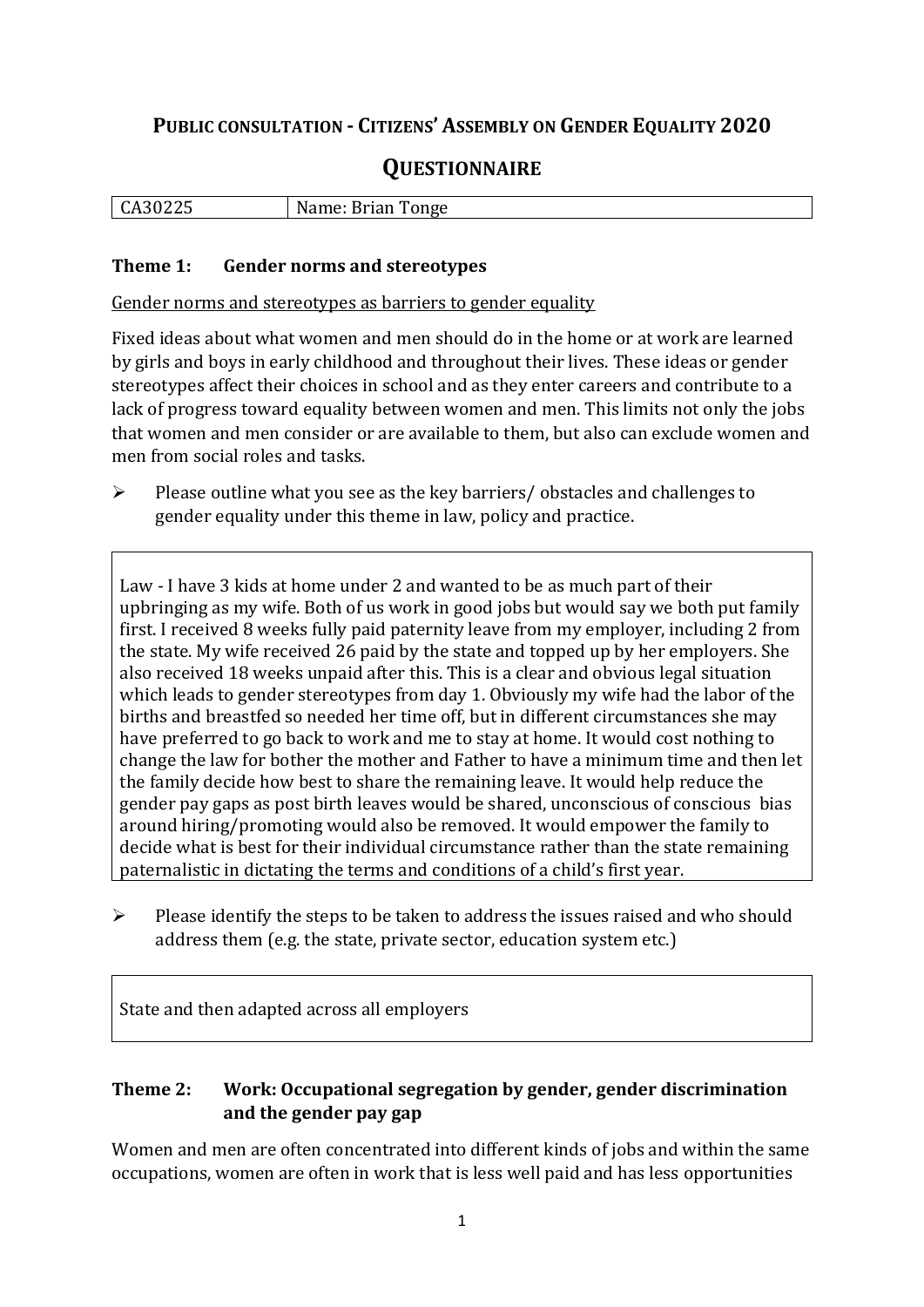## **PUBLIC CONSULTATION - CITIZENS' ASSEMBLY ON GENDER EQUALITY 2020**

# **QUESTIONNAIRE**

| CA30225 | Name: Brian Tonge |
|---------|-------------------|
|         |                   |

#### **Theme 1: Gender norms and stereotypes**

Gender norms and stereotypes as barriers to gender equality

Fixed ideas about what women and men should do in the home or at work are learned by girls and boys in early childhood and throughout their lives. These ideas or gender stereotypes affect their choices in school and as they enter careers and contribute to a lack of progress toward equality between women and men. This limits not only the jobs that women and men consider or are available to them, but also can exclude women and men from social roles and tasks.

➢ Please outline what you see as the key barriers/ obstacles and challenges to gender equality under this theme in law, policy and practice.

Law - I have 3 kids at home under 2 and wanted to be as much part of their upbringing as my wife. Both of us work in good jobs but would say we both put family first. I received 8 weeks fully paid paternity leave from my employer, including 2 from the state. My wife received 26 paid by the state and topped up by her employers. She also received 18 weeks unpaid after this. This is a clear and obvious legal situation which leads to gender stereotypes from day 1. Obviously my wife had the labor of the births and breastfed so needed her time off, but in different circumstances she may have preferred to go back to work and me to stay at home. It would cost nothing to change the law for bother the mother and Father to have a minimum time and then let the family decide how best to share the remaining leave. It would help reduce the gender pay gaps as post birth leaves would be shared, unconscious of conscious bias around hiring/promoting would also be removed. It would empower the family to decide what is best for their individual circumstance rather than the state remaining paternalistic in dictating the terms and conditions of a child's first year.

➢ Please identify the steps to be taken to address the issues raised and who should address them (e.g. the state, private sector, education system etc.)

State and then adapted across all employers

#### **Theme 2: Work: Occupational segregation by gender, gender discrimination and the gender pay gap**

Women and men are often concentrated into different kinds of jobs and within the same occupations, women are often in work that is less well paid and has less opportunities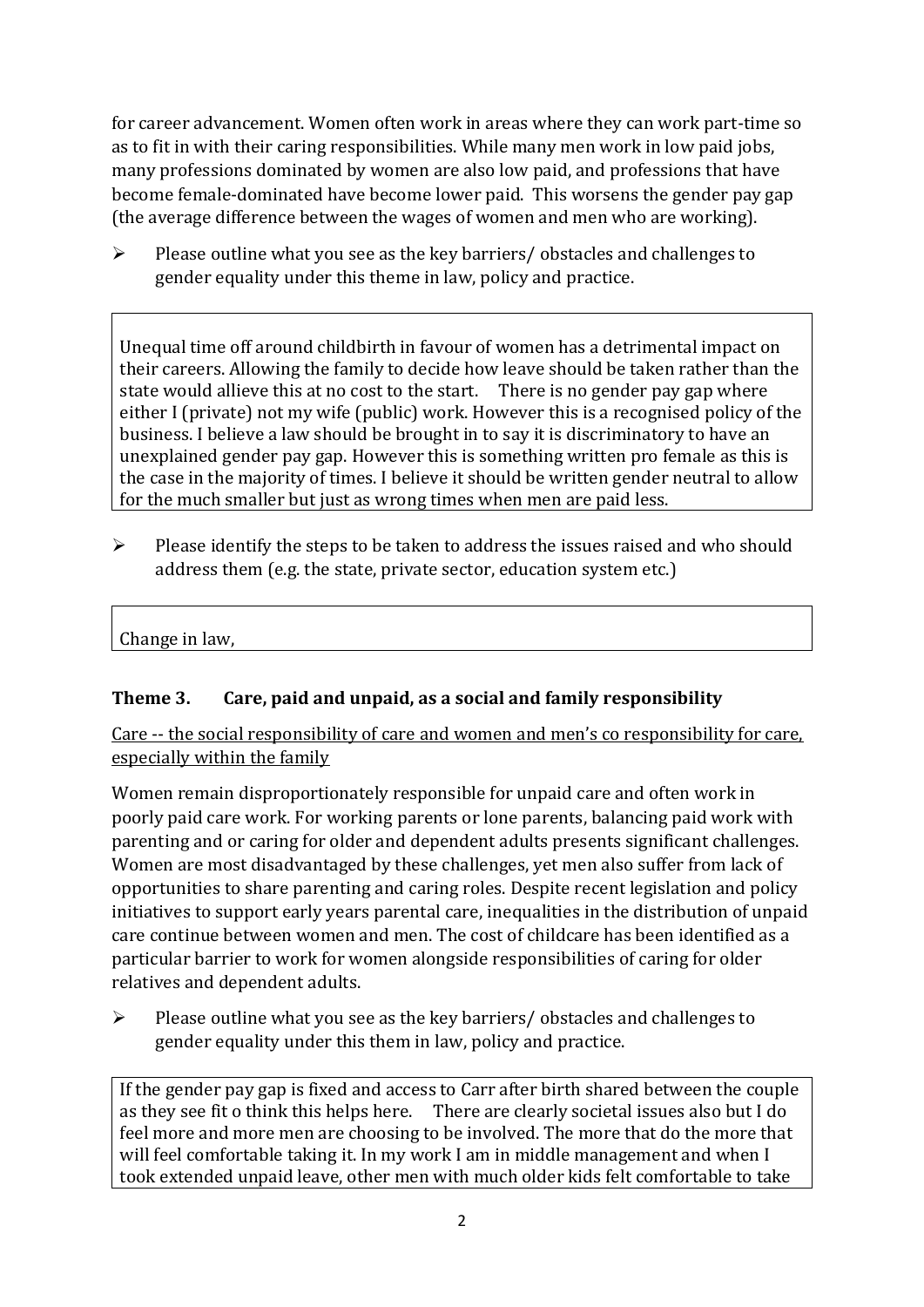for career advancement. Women often work in areas where they can work part-time so as to fit in with their caring responsibilities. While many men work in low paid jobs, many professions dominated by women are also low paid, and professions that have become female-dominated have become lower paid. This worsens the gender pay gap (the average difference between the wages of women and men who are working).

➢ Please outline what you see as the key barriers/ obstacles and challenges to gender equality under this theme in law, policy and practice.

Unequal time off around childbirth in favour of women has a detrimental impact on their careers. Allowing the family to decide how leave should be taken rather than the state would allieve this at no cost to the start. There is no gender pay gap where either I (private) not my wife (public) work. However this is a recognised policy of the business. I believe a law should be brought in to say it is discriminatory to have an unexplained gender pay gap. However this is something written pro female as this is the case in the majority of times. I believe it should be written gender neutral to allow for the much smaller but just as wrong times when men are paid less.

➢ Please identify the steps to be taken to address the issues raised and who should address them (e.g. the state, private sector, education system etc.)

Change in law,

### **Theme 3. Care, paid and unpaid, as a social and family responsibility**

Care -- the social responsibility of care and women and men's co responsibility for care, especially within the family

Women remain disproportionately responsible for unpaid care and often work in poorly paid care work. For working parents or [lone parents,](https://aran.library.nuigalway.ie/bitstream/handle/10379/6044/Millar_and_Crosse_Activation_Report.pdf?sequence=1&isAllowed=y) balancing paid work with parenting and or caring for older and dependent adults presents significant challenges. Women are [most disadvantaged by these challenges,](https://eige.europa.eu/gender-equality-index/game/IE/W) yet men also suffer from lack of opportunities to share parenting and caring roles. Despite recent legislation and policy initiatives to support early years parental care, [inequalities in the distribution of unpaid](https://www.ihrec.ie/app/uploads/2019/07/Caring-and-Unpaid-Work-in-Ireland_Final.pdf)  [care](https://www.ihrec.ie/app/uploads/2019/07/Caring-and-Unpaid-Work-in-Ireland_Final.pdf) continue between women and men. The cost of childcare has been identified as a particular barrier to work for women alongside responsibilities of caring for older relatives and dependent adults.

➢ Please outline what you see as the key barriers/ obstacles and challenges to gender equality under this them in law, policy and practice.

If the gender pay gap is fixed and access to Carr after birth shared between the couple as they see fit o think this helps here. There are clearly societal issues also but I do feel more and more men are choosing to be involved. The more that do the more that will feel comfortable taking it. In my work I am in middle management and when I took extended unpaid leave, other men with much older kids felt comfortable to take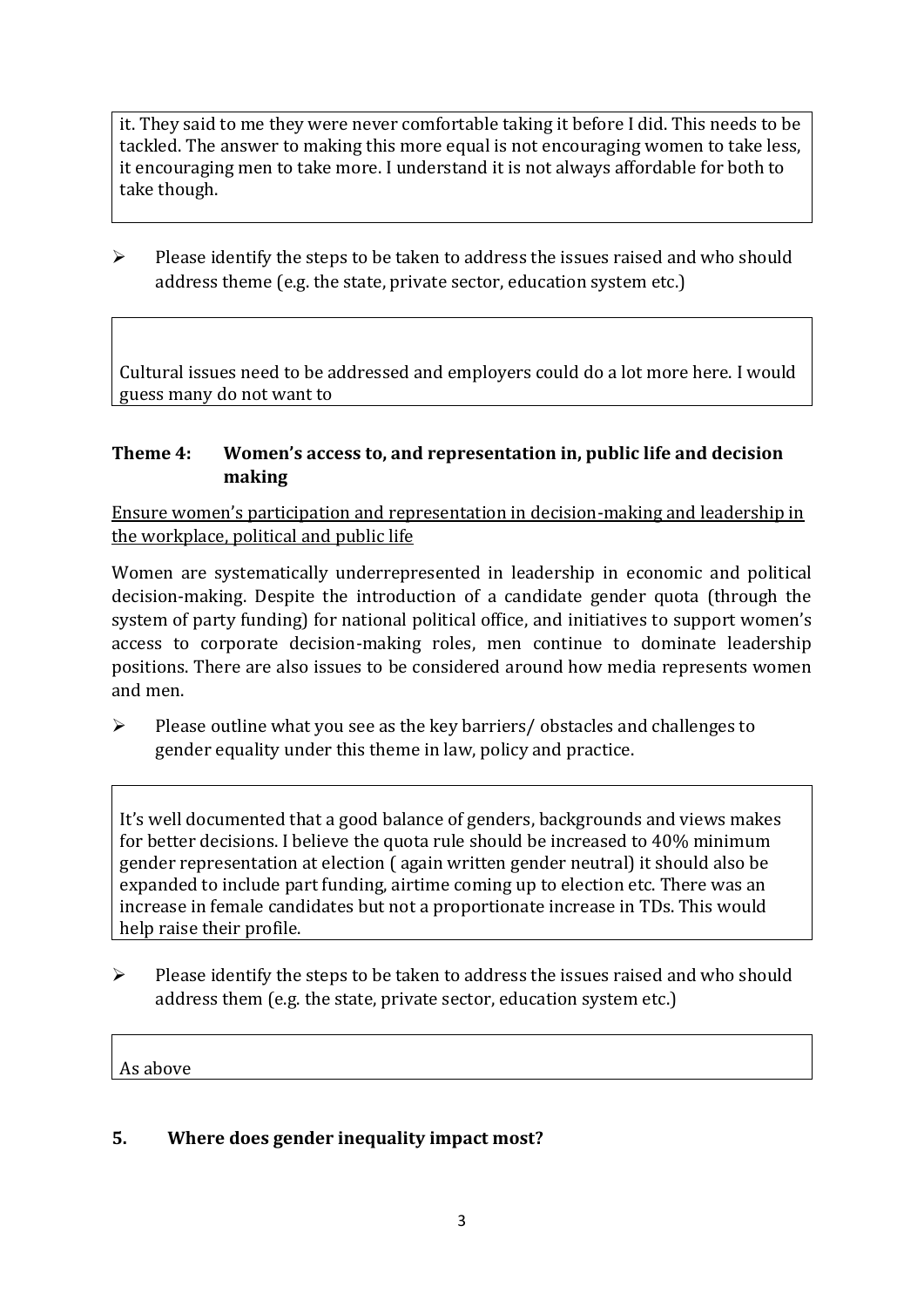it. They said to me they were never comfortable taking it before I did. This needs to be tackled. The answer to making this more equal is not encouraging women to take less, it encouraging men to take more. I understand it is not always affordable for both to take though.

 $\triangleright$  Please identify the steps to be taken to address the issues raised and who should address theme (e.g. the state, private sector, education system etc.)

Cultural issues need to be addressed and employers could do a lot more here. I would guess many do not want to

### **Theme 4: Women's access to, and representation in, public life and decision making**

Ensure women's participation and representation in decision-making and leadership in the workplace, political and public life

Women are systematically underrepresented in leadership in [economic](https://eige.europa.eu/gender-equality-index/2019/compare-countries/power/2/bar) and [political](https://eige.europa.eu/gender-equality-index/2019/compare-countries/power/1/bar)  [decision-](https://eige.europa.eu/gender-equality-index/2019/compare-countries/power/1/bar)making. Despite the introduction of a candidate gender quota (through the system of party funding) for national political office, and [initiatives](https://betterbalance.ie/) to support women's access to corporate decision-making roles, men continue to dominate leadership positions. There are also issues to be considered around how media represents women and men.

➢ Please outline what you see as the key barriers/ obstacles and challenges to gender equality under this theme in law, policy and practice.

It's well documented that a good balance of genders, backgrounds and views makes for better decisions. I believe the quota rule should be increased to 40% minimum gender representation at election ( again written gender neutral) it should also be expanded to include part funding, airtime coming up to election etc. There was an increase in female candidates but not a proportionate increase in TDs. This would help raise their profile.

➢ Please identify the steps to be taken to address the issues raised and who should address them (e.g. the state, private sector, education system etc.)

As above

#### **5. Where does gender inequality impact most?**